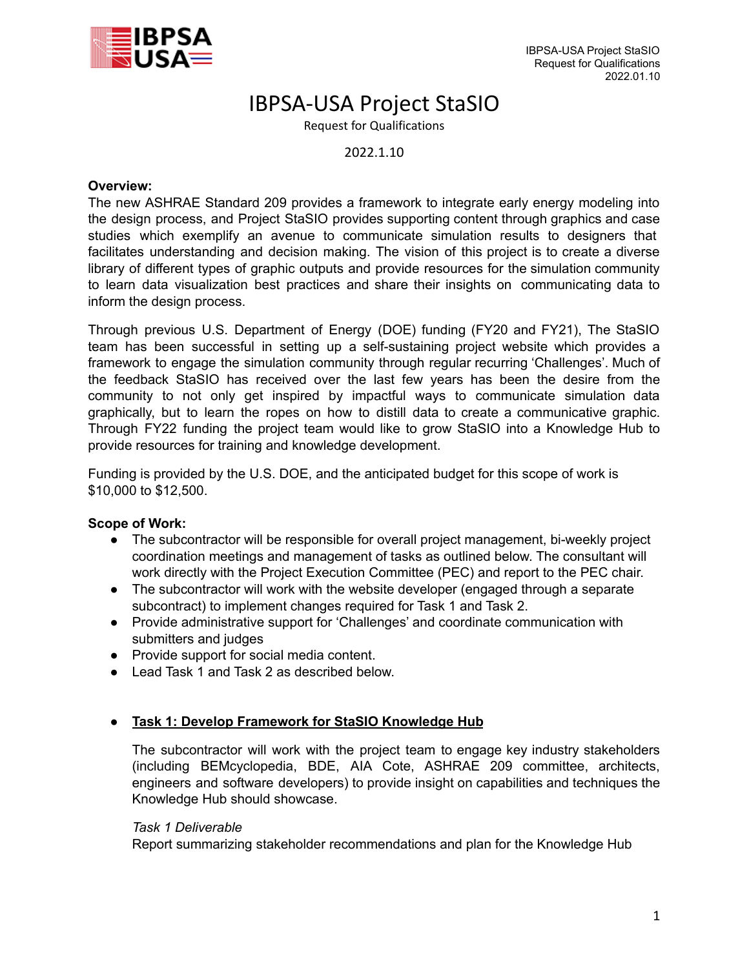

# IBPSA-USA Project StaSIO

Request for Qualifications

2022.1.10

### **Overview:**

The new ASHRAE Standard 209 provides a framework to integrate early energy modeling into the design process, and Project StaSIO provides supporting content through graphics and case studies which exemplify an avenue to communicate simulation results to designers that facilitates understanding and decision making. The vision of this project is to create a diverse library of different types of graphic outputs and provide resources for the simulation community to learn data visualization best practices and share their insights on communicating data to inform the design process.

Through previous U.S. Department of Energy (DOE) funding (FY20 and FY21), The StaSIO team has been successful in setting up a self-sustaining project website which provides a framework to engage the simulation community through regular recurring 'Challenges'. Much of the feedback StaSIO has received over the last few years has been the desire from the community to not only get inspired by impactful ways to communicate simulation data graphically, but to learn the ropes on how to distill data to create a communicative graphic. Through FY22 funding the project team would like to grow StaSIO into a Knowledge Hub to provide resources for training and knowledge development.

Funding is provided by the U.S. DOE, and the anticipated budget for this scope of work is \$10,000 to \$12,500.

# **Scope of Work:**

- The subcontractor will be responsible for overall project management, bi-weekly project coordination meetings and management of tasks as outlined below. The consultant will work directly with the Project Execution Committee (PEC) and report to the PEC chair.
- The subcontractor will work with the website developer (engaged through a separate subcontract) to implement changes required for Task 1 and Task 2.
- Provide administrative support for 'Challenges' and coordinate communication with submitters and judges
- Provide support for social media content.
- Lead Task 1 and Task 2 as described below.

# ● **Task 1: Develop Framework for StaSIO Knowledge Hub**

The subcontractor will work with the project team to engage key industry stakeholders (including BEMcyclopedia, BDE, AIA Cote, ASHRAE 209 committee, architects, engineers and software developers) to provide insight on capabilities and techniques the Knowledge Hub should showcase.

#### *Task 1 Deliverable*

Report summarizing stakeholder recommendations and plan for the Knowledge Hub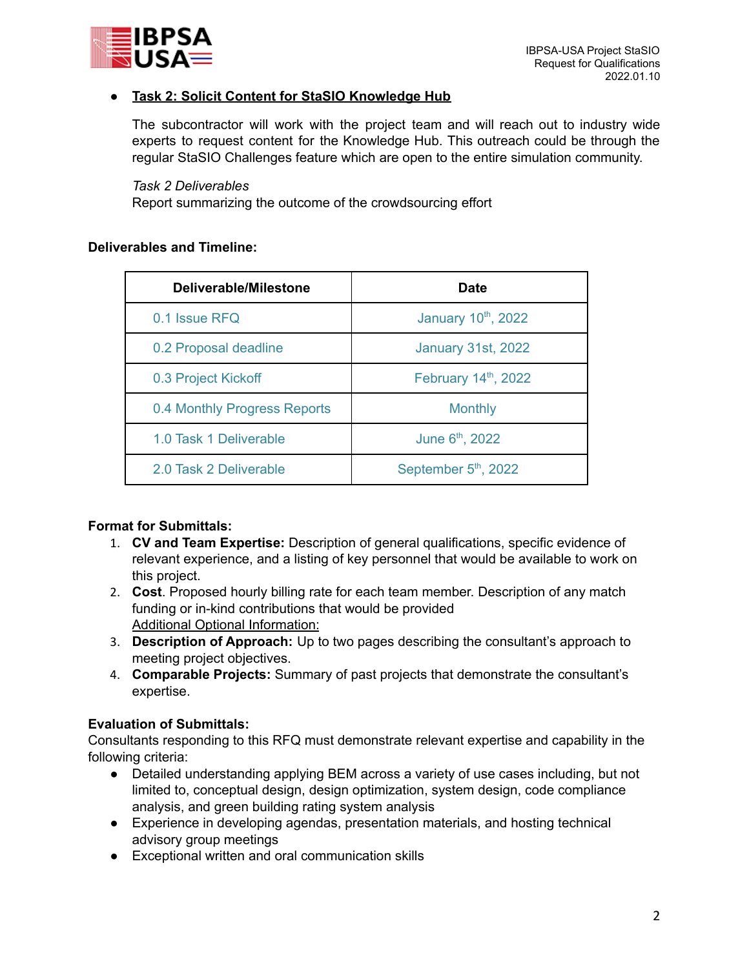

# ● **Task 2: Solicit Content for StaSIO Knowledge Hub**

The subcontractor will work with the project team and will reach out to industry wide experts to request content for the Knowledge Hub. This outreach could be through the regular StaSIO Challenges feature which are open to the entire simulation community.

*Task 2 Deliverables*

Report summarizing the outcome of the crowdsourcing effort

## **Deliverables and Timeline:**

| Deliverable/Milestone        | <b>Date</b>                 |
|------------------------------|-----------------------------|
| 0.1 Issue RFQ                | January 10th, 2022          |
| 0.2 Proposal deadline        | <b>January 31st, 2022</b>   |
| 0.3 Project Kickoff          | February 14th, 2022         |
| 0.4 Monthly Progress Reports | <b>Monthly</b>              |
| 1.0 Task 1 Deliverable       | June 6 <sup>th</sup> , 2022 |
| 2.0 Task 2 Deliverable       | September 5th, 2022         |

# **Format for Submittals:**

- 1. **CV and Team Expertise:** Description of general qualifications, specific evidence of relevant experience, and a listing of key personnel that would be available to work on this project.
- 2. **Cost**. Proposed hourly billing rate for each team member. Description of any match funding or in-kind contributions that would be provided Additional Optional Information:
- 3. **Description of Approach:** Up to two pages describing the consultant's approach to meeting project objectives.
- 4. **Comparable Projects:** Summary of past projects that demonstrate the consultant's expertise.

# **Evaluation of Submittals:**

Consultants responding to this RFQ must demonstrate relevant expertise and capability in the following criteria:

- Detailed understanding applying BEM across a variety of use cases including, but not limited to, conceptual design, design optimization, system design, code compliance analysis, and green building rating system analysis
- Experience in developing agendas, presentation materials, and hosting technical advisory group meetings
- Exceptional written and oral communication skills